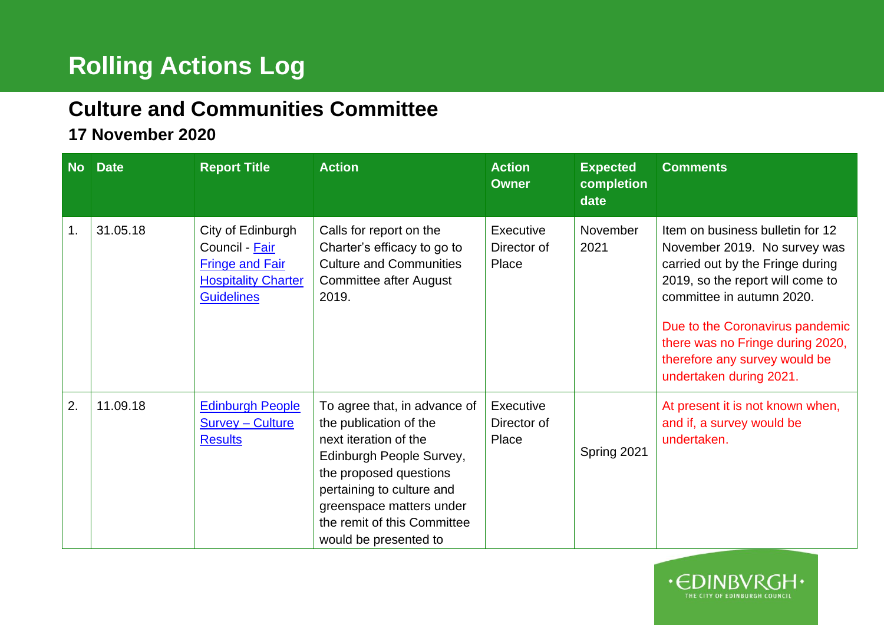## **Rolling Actions Log**

## **Culture and Communities Committee**

## **17 November 2020**

| <b>No</b> | <b>Date</b> | <b>Report Title</b>                                                                                              | <b>Action</b>                                                                                                                                                                                                                                          | <b>Action</b><br><b>Owner</b>     | <b>Expected</b><br>completion<br>date | <b>Comments</b>                                                                                                                                                                                                                                                                                          |
|-----------|-------------|------------------------------------------------------------------------------------------------------------------|--------------------------------------------------------------------------------------------------------------------------------------------------------------------------------------------------------------------------------------------------------|-----------------------------------|---------------------------------------|----------------------------------------------------------------------------------------------------------------------------------------------------------------------------------------------------------------------------------------------------------------------------------------------------------|
| 1.        | 31.05.18    | City of Edinburgh<br>Council - Fair<br><b>Fringe and Fair</b><br><b>Hospitality Charter</b><br><b>Guidelines</b> | Calls for report on the<br>Charter's efficacy to go to<br><b>Culture and Communities</b><br>Committee after August<br>2019.                                                                                                                            | Executive<br>Director of<br>Place | November<br>2021                      | Item on business bulletin for 12<br>November 2019. No survey was<br>carried out by the Fringe during<br>2019, so the report will come to<br>committee in autumn 2020.<br>Due to the Coronavirus pandemic<br>there was no Fringe during 2020,<br>therefore any survey would be<br>undertaken during 2021. |
| 2.        | 11.09.18    | <b>Edinburgh People</b><br><b>Survey - Culture</b><br><b>Results</b>                                             | To agree that, in advance of<br>the publication of the<br>next iteration of the<br>Edinburgh People Survey,<br>the proposed questions<br>pertaining to culture and<br>greenspace matters under<br>the remit of this Committee<br>would be presented to | Executive<br>Director of<br>Place | Spring 2021                           | At present it is not known when,<br>and if, a survey would be<br>undertaken.                                                                                                                                                                                                                             |

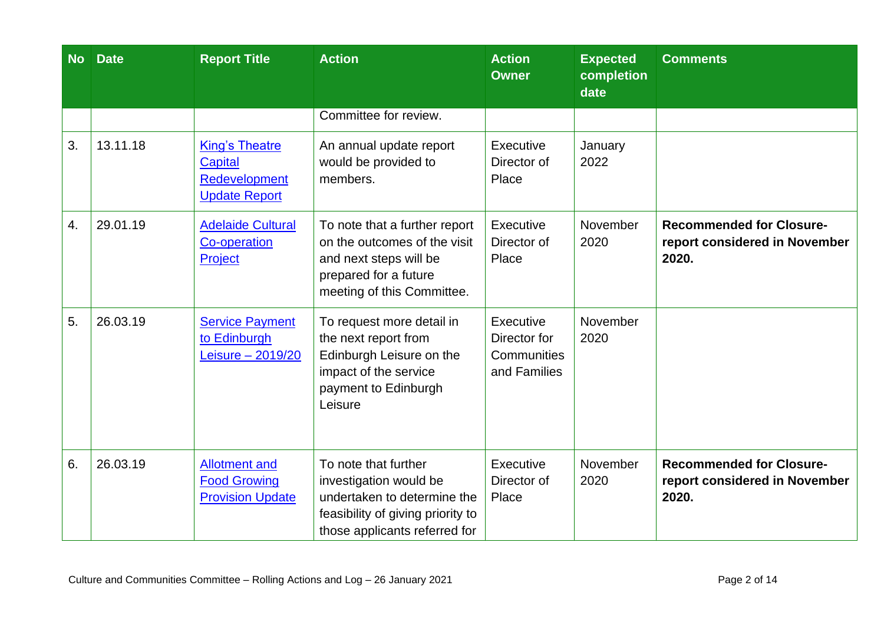| <b>No</b> | <b>Date</b> | <b>Report Title</b>                                                       | <b>Action</b>                                                                                                                                       | <b>Action</b><br><b>Owner</b>                            | <b>Expected</b><br>completion<br>date | <b>Comments</b>                                                           |
|-----------|-------------|---------------------------------------------------------------------------|-----------------------------------------------------------------------------------------------------------------------------------------------------|----------------------------------------------------------|---------------------------------------|---------------------------------------------------------------------------|
|           |             |                                                                           | Committee for review.                                                                                                                               |                                                          |                                       |                                                                           |
| 3.        | 13.11.18    | <b>King's Theatre</b><br>Capital<br>Redevelopment<br><b>Update Report</b> | An annual update report<br>would be provided to<br>members.                                                                                         | Executive<br>Director of<br>Place                        | January<br>2022                       |                                                                           |
| 4.        | 29.01.19    | <b>Adelaide Cultural</b><br><b>Co-operation</b><br>Project                | To note that a further report<br>on the outcomes of the visit<br>and next steps will be<br>prepared for a future<br>meeting of this Committee.      | Executive<br>Director of<br>Place                        | November<br>2020                      | <b>Recommended for Closure-</b><br>report considered in November<br>2020. |
| 5.        | 26.03.19    | <b>Service Payment</b><br>to Edinburgh<br>Leisure - 2019/20               | To request more detail in<br>the next report from<br>Edinburgh Leisure on the<br>impact of the service<br>payment to Edinburgh<br>Leisure           | Executive<br>Director for<br>Communities<br>and Families | November<br>2020                      |                                                                           |
| 6.        | 26.03.19    | <b>Allotment and</b><br><b>Food Growing</b><br><b>Provision Update</b>    | To note that further<br>investigation would be<br>undertaken to determine the<br>feasibility of giving priority to<br>those applicants referred for | Executive<br>Director of<br>Place                        | November<br>2020                      | <b>Recommended for Closure-</b><br>report considered in November<br>2020. |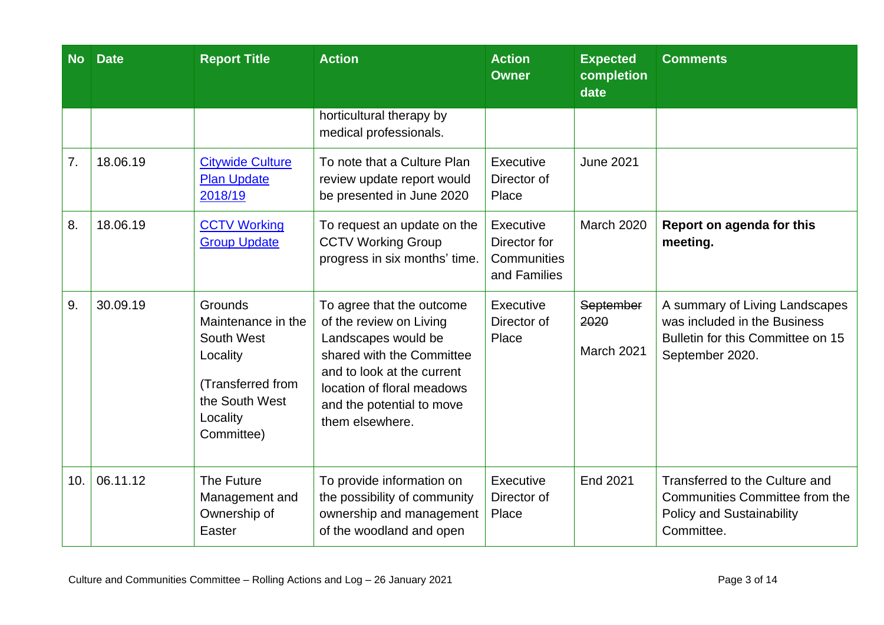| <b>No</b> | <b>Date</b> | <b>Report Title</b>                                                                                                             | <b>Action</b>                                                                                                                                                                                                        | <b>Action</b><br><b>Owner</b>                            | <b>Expected</b><br>completion<br>date | <b>Comments</b>                                                                                                           |
|-----------|-------------|---------------------------------------------------------------------------------------------------------------------------------|----------------------------------------------------------------------------------------------------------------------------------------------------------------------------------------------------------------------|----------------------------------------------------------|---------------------------------------|---------------------------------------------------------------------------------------------------------------------------|
|           |             |                                                                                                                                 | horticultural therapy by<br>medical professionals.                                                                                                                                                                   |                                                          |                                       |                                                                                                                           |
| 7.        | 18.06.19    | <b>Citywide Culture</b><br><b>Plan Update</b><br>2018/19                                                                        | To note that a Culture Plan<br>review update report would<br>be presented in June 2020                                                                                                                               | Executive<br>Director of<br>Place                        | <b>June 2021</b>                      |                                                                                                                           |
| 8.        | 18.06.19    | <b>CCTV Working</b><br><b>Group Update</b>                                                                                      | To request an update on the<br><b>CCTV Working Group</b><br>progress in six months' time.                                                                                                                            | Executive<br>Director for<br>Communities<br>and Families | <b>March 2020</b>                     | Report on agenda for this<br>meeting.                                                                                     |
| 9.        | 30.09.19    | <b>Grounds</b><br>Maintenance in the<br>South West<br>Locality<br>(Transferred from<br>the South West<br>Locality<br>Committee) | To agree that the outcome<br>of the review on Living<br>Landscapes would be<br>shared with the Committee<br>and to look at the current<br>location of floral meadows<br>and the potential to move<br>them elsewhere. | Executive<br>Director of<br>Place                        | September<br>2020<br>March 2021       | A summary of Living Landscapes<br>was included in the Business<br>Bulletin for this Committee on 15<br>September 2020.    |
| 10.       | 06.11.12    | The Future<br>Management and<br>Ownership of<br>Easter                                                                          | To provide information on<br>the possibility of community<br>ownership and management<br>of the woodland and open                                                                                                    | Executive<br>Director of<br>Place                        | End 2021                              | Transferred to the Culture and<br><b>Communities Committee from the</b><br><b>Policy and Sustainability</b><br>Committee. |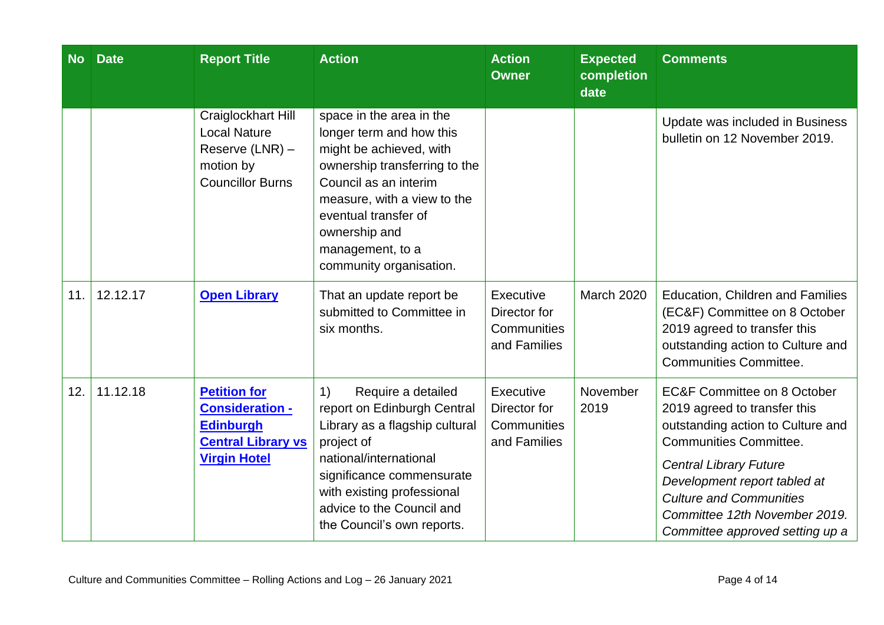| <b>No</b> | <b>Date</b> | <b>Report Title</b>                                                                                                   | <b>Action</b>                                                                                                                                                                                                                                                                        | <b>Action</b><br><b>Owner</b>                            | <b>Expected</b><br>completion<br>date | <b>Comments</b>                                                                                                                                                                                                                                                                                                     |
|-----------|-------------|-----------------------------------------------------------------------------------------------------------------------|--------------------------------------------------------------------------------------------------------------------------------------------------------------------------------------------------------------------------------------------------------------------------------------|----------------------------------------------------------|---------------------------------------|---------------------------------------------------------------------------------------------------------------------------------------------------------------------------------------------------------------------------------------------------------------------------------------------------------------------|
|           |             | Craiglockhart Hill<br><b>Local Nature</b><br>Reserve (LNR) -<br>motion by<br><b>Councillor Burns</b>                  | space in the area in the<br>longer term and how this<br>might be achieved, with<br>ownership transferring to the<br>Council as an interim<br>measure, with a view to the<br>eventual transfer of<br>ownership and<br>management, to a<br>community organisation.                     |                                                          |                                       | Update was included in Business<br>bulletin on 12 November 2019.                                                                                                                                                                                                                                                    |
| 11.       | 12.12.17    | <b>Open Library</b>                                                                                                   | That an update report be<br>submitted to Committee in<br>six months.                                                                                                                                                                                                                 | Executive<br>Director for<br>Communities<br>and Families | <b>March 2020</b>                     | <b>Education, Children and Families</b><br>(EC&F) Committee on 8 October<br>2019 agreed to transfer this<br>outstanding action to Culture and<br>Communities Committee.                                                                                                                                             |
| 12.       | 11.12.18    | <b>Petition for</b><br><b>Consideration -</b><br><b>Edinburgh</b><br><b>Central Library vs</b><br><b>Virgin Hotel</b> | Require a detailed<br>$\left( \left  \right  \right)$<br>report on Edinburgh Central<br>Library as a flagship cultural<br>project of<br>national/international<br>significance commensurate<br>with existing professional<br>advice to the Council and<br>the Council's own reports. | Executive<br>Director for<br>Communities<br>and Families | November<br>2019                      | <b>EC&amp;F Committee on 8 October</b><br>2019 agreed to transfer this<br>outstanding action to Culture and<br><b>Communities Committee.</b><br><b>Central Library Future</b><br>Development report tabled at<br><b>Culture and Communities</b><br>Committee 12th November 2019.<br>Committee approved setting up a |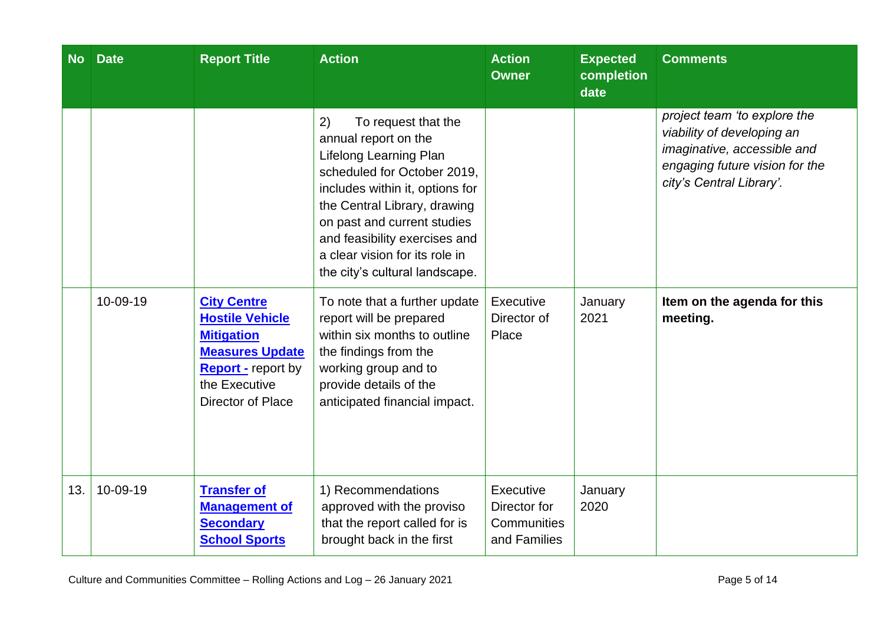| <b>No</b> | <b>Date</b> | <b>Report Title</b>                                                                                                                                            | <b>Action</b>                                                                                                                                                                                                                                                                                                     | <b>Action</b><br><b>Owner</b>                            | <b>Expected</b><br>completion<br>date | <b>Comments</b>                                                                                                                                         |
|-----------|-------------|----------------------------------------------------------------------------------------------------------------------------------------------------------------|-------------------------------------------------------------------------------------------------------------------------------------------------------------------------------------------------------------------------------------------------------------------------------------------------------------------|----------------------------------------------------------|---------------------------------------|---------------------------------------------------------------------------------------------------------------------------------------------------------|
|           |             |                                                                                                                                                                | 2)<br>To request that the<br>annual report on the<br>Lifelong Learning Plan<br>scheduled for October 2019,<br>includes within it, options for<br>the Central Library, drawing<br>on past and current studies<br>and feasibility exercises and<br>a clear vision for its role in<br>the city's cultural landscape. |                                                          |                                       | project team 'to explore the<br>viability of developing an<br>imaginative, accessible and<br>engaging future vision for the<br>city's Central Library'. |
|           | 10-09-19    | <b>City Centre</b><br><b>Hostile Vehicle</b><br><b>Mitigation</b><br><b>Measures Update</b><br><b>Report</b> - report by<br>the Executive<br>Director of Place | To note that a further update<br>report will be prepared<br>within six months to outline<br>the findings from the<br>working group and to<br>provide details of the<br>anticipated financial impact.                                                                                                              | <b>Executive</b><br>Director of<br>Place                 | January<br>2021                       | Item on the agenda for this<br>meeting.                                                                                                                 |
| 13.       | 10-09-19    | <b>Transfer of</b><br><b>Management of</b><br><b>Secondary</b><br><b>School Sports</b>                                                                         | 1) Recommendations<br>approved with the proviso<br>that the report called for is<br>brought back in the first                                                                                                                                                                                                     | Executive<br>Director for<br>Communities<br>and Families | January<br>2020                       |                                                                                                                                                         |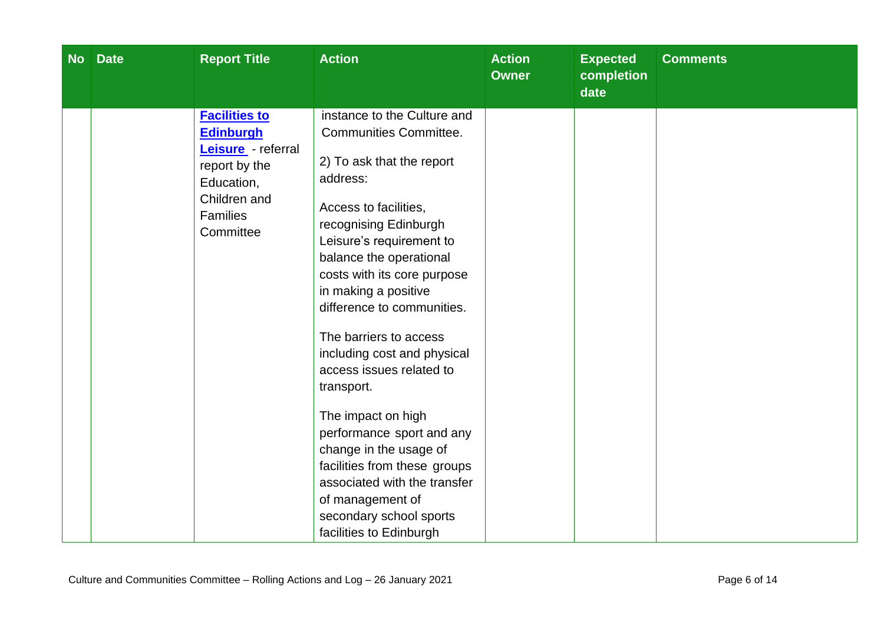| No Date | <b>Report Title</b>                                                                                                                    | <b>Action</b>                                                                                                                                                                                                                                                                                                                                                                                                                                                                                                                                                                                                                 | <b>Action</b><br><b>Owner</b> | <b>Expected</b><br>completion<br>date | <b>Comments</b> |
|---------|----------------------------------------------------------------------------------------------------------------------------------------|-------------------------------------------------------------------------------------------------------------------------------------------------------------------------------------------------------------------------------------------------------------------------------------------------------------------------------------------------------------------------------------------------------------------------------------------------------------------------------------------------------------------------------------------------------------------------------------------------------------------------------|-------------------------------|---------------------------------------|-----------------|
|         | <b>Facilities to</b><br><b>Edinburgh</b><br>Leisure - referral<br>report by the<br>Education,<br>Children and<br>Families<br>Committee | instance to the Culture and<br><b>Communities Committee.</b><br>2) To ask that the report<br>address:<br>Access to facilities,<br>recognising Edinburgh<br>Leisure's requirement to<br>balance the operational<br>costs with its core purpose<br>in making a positive<br>difference to communities.<br>The barriers to access<br>including cost and physical<br>access issues related to<br>transport.<br>The impact on high<br>performance sport and any<br>change in the usage of<br>facilities from these groups<br>associated with the transfer<br>of management of<br>secondary school sports<br>facilities to Edinburgh |                               |                                       |                 |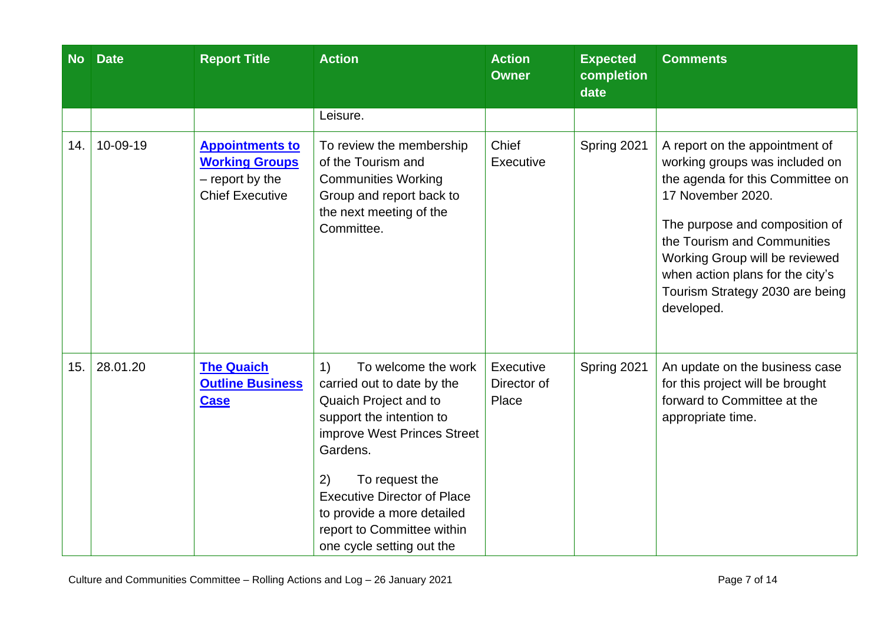| <b>No</b> | <b>Date</b> | <b>Report Title</b>                                                                          | <b>Action</b>                                                                                                                                                                                                                                                                                                  | <b>Action</b><br><b>Owner</b>     | <b>Expected</b><br>completion<br>date | <b>Comments</b>                                                                                                                                                                                                                                                                                                   |
|-----------|-------------|----------------------------------------------------------------------------------------------|----------------------------------------------------------------------------------------------------------------------------------------------------------------------------------------------------------------------------------------------------------------------------------------------------------------|-----------------------------------|---------------------------------------|-------------------------------------------------------------------------------------------------------------------------------------------------------------------------------------------------------------------------------------------------------------------------------------------------------------------|
|           |             |                                                                                              | Leisure.                                                                                                                                                                                                                                                                                                       |                                   |                                       |                                                                                                                                                                                                                                                                                                                   |
| 14.       | 10-09-19    | <b>Appointments to</b><br><b>Working Groups</b><br>- report by the<br><b>Chief Executive</b> | To review the membership<br>of the Tourism and<br><b>Communities Working</b><br>Group and report back to<br>the next meeting of the<br>Committee.                                                                                                                                                              | Chief<br>Executive                | Spring 2021                           | A report on the appointment of<br>working groups was included on<br>the agenda for this Committee on<br>17 November 2020.<br>The purpose and composition of<br>the Tourism and Communities<br>Working Group will be reviewed<br>when action plans for the city's<br>Tourism Strategy 2030 are being<br>developed. |
| 15.       | 28.01.20    | <b>The Quaich</b><br><b>Outline Business</b><br><b>Case</b>                                  | 1)<br>To welcome the work<br>carried out to date by the<br>Quaich Project and to<br>support the intention to<br>improve West Princes Street<br>Gardens.<br>To request the<br>2)<br><b>Executive Director of Place</b><br>to provide a more detailed<br>report to Committee within<br>one cycle setting out the | Executive<br>Director of<br>Place | Spring 2021                           | An update on the business case<br>for this project will be brought<br>forward to Committee at the<br>appropriate time.                                                                                                                                                                                            |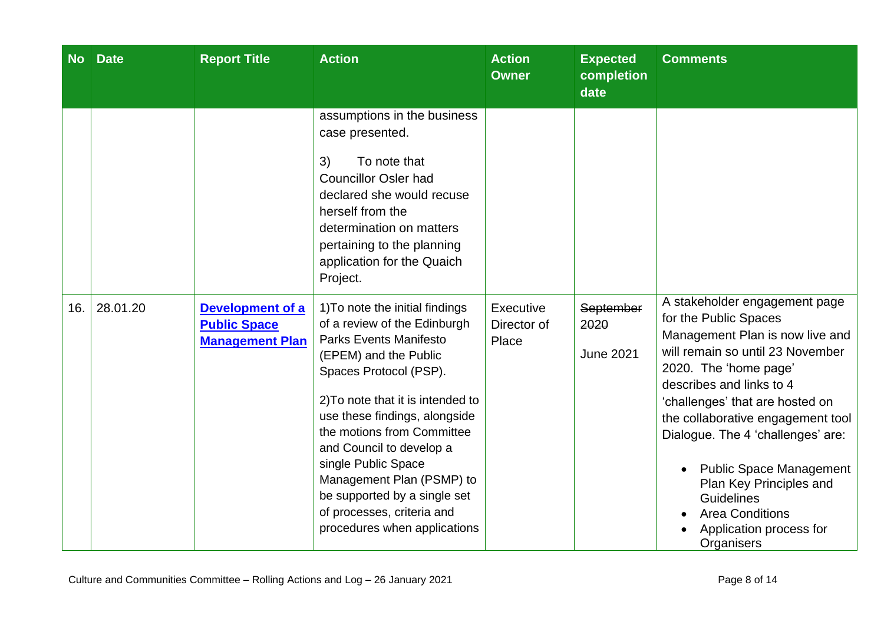| <b>No</b> | <b>Date</b> | <b>Report Title</b>                                                      | <b>Action</b>                                                                                                                                                                                                                                                                                                                                                                                                                         | <b>Action</b><br><b>Owner</b>     | <b>Expected</b><br>completion<br>date | <b>Comments</b>                                                                                                                                                                                                                                                                                                                                                                                                                                      |
|-----------|-------------|--------------------------------------------------------------------------|---------------------------------------------------------------------------------------------------------------------------------------------------------------------------------------------------------------------------------------------------------------------------------------------------------------------------------------------------------------------------------------------------------------------------------------|-----------------------------------|---------------------------------------|------------------------------------------------------------------------------------------------------------------------------------------------------------------------------------------------------------------------------------------------------------------------------------------------------------------------------------------------------------------------------------------------------------------------------------------------------|
|           |             |                                                                          | assumptions in the business<br>case presented.<br>3)<br>To note that<br><b>Councillor Osler had</b><br>declared she would recuse<br>herself from the<br>determination on matters<br>pertaining to the planning<br>application for the Quaich<br>Project.                                                                                                                                                                              |                                   |                                       |                                                                                                                                                                                                                                                                                                                                                                                                                                                      |
| 16.       | 28.01.20    | <b>Development of a</b><br><b>Public Space</b><br><b>Management Plan</b> | 1) To note the initial findings<br>of a review of the Edinburgh<br><b>Parks Events Manifesto</b><br>(EPEM) and the Public<br>Spaces Protocol (PSP).<br>2) To note that it is intended to<br>use these findings, alongside<br>the motions from Committee<br>and Council to develop a<br>single Public Space<br>Management Plan (PSMP) to<br>be supported by a single set<br>of processes, criteria and<br>procedures when applications | Executive<br>Director of<br>Place | September<br>2020<br><b>June 2021</b> | A stakeholder engagement page<br>for the Public Spaces<br>Management Plan is now live and<br>will remain so until 23 November<br>2020. The 'home page'<br>describes and links to 4<br>'challenges' that are hosted on<br>the collaborative engagement tool<br>Dialogue. The 4 'challenges' are:<br><b>Public Space Management</b><br>Plan Key Principles and<br><b>Guidelines</b><br><b>Area Conditions</b><br>Application process for<br>Organisers |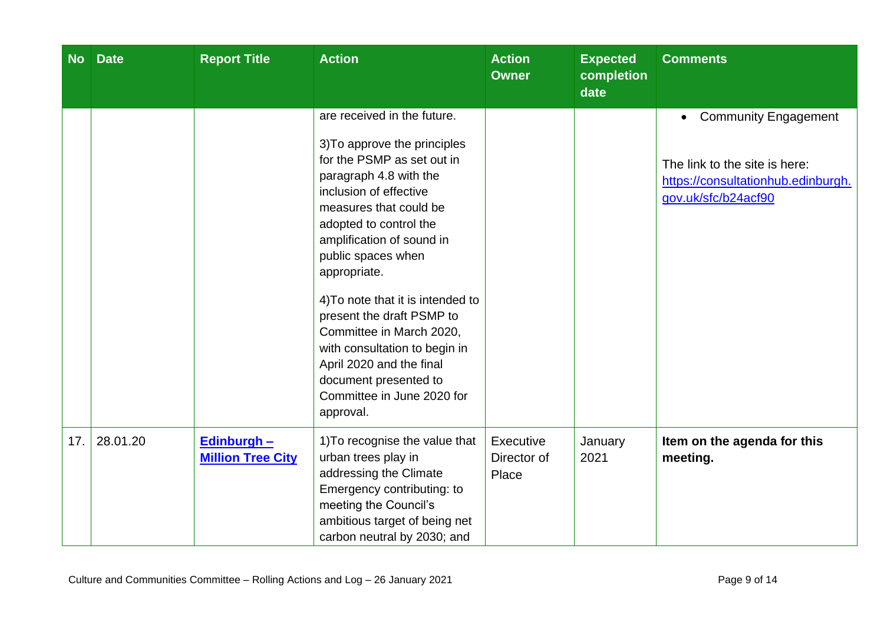| <b>No</b> | <b>Date</b> | <b>Report Title</b>                            | <b>Action</b>                                                                                                                                                                                                                                                                                                                                                                                                                                                                                       | <b>Action</b><br><b>Owner</b>     | <b>Expected</b><br>completion<br>date | <b>Comments</b>                                                                                                                        |
|-----------|-------------|------------------------------------------------|-----------------------------------------------------------------------------------------------------------------------------------------------------------------------------------------------------------------------------------------------------------------------------------------------------------------------------------------------------------------------------------------------------------------------------------------------------------------------------------------------------|-----------------------------------|---------------------------------------|----------------------------------------------------------------------------------------------------------------------------------------|
|           |             |                                                | are received in the future.<br>3) To approve the principles<br>for the PSMP as set out in<br>paragraph 4.8 with the<br>inclusion of effective<br>measures that could be<br>adopted to control the<br>amplification of sound in<br>public spaces when<br>appropriate.<br>4) To note that it is intended to<br>present the draft PSMP to<br>Committee in March 2020,<br>with consultation to begin in<br>April 2020 and the final<br>document presented to<br>Committee in June 2020 for<br>approval. |                                   |                                       | <b>Community Engagement</b><br>$\bullet$<br>The link to the site is here:<br>https://consultationhub.edinburgh.<br>gov.uk/sfc/b24acf90 |
| 17.       | 28.01.20    | <b>Edinburgh -</b><br><b>Million Tree City</b> | 1) To recognise the value that<br>urban trees play in<br>addressing the Climate<br>Emergency contributing: to<br>meeting the Council's<br>ambitious target of being net<br>carbon neutral by 2030; and                                                                                                                                                                                                                                                                                              | Executive<br>Director of<br>Place | January<br>2021                       | Item on the agenda for this<br>meeting.                                                                                                |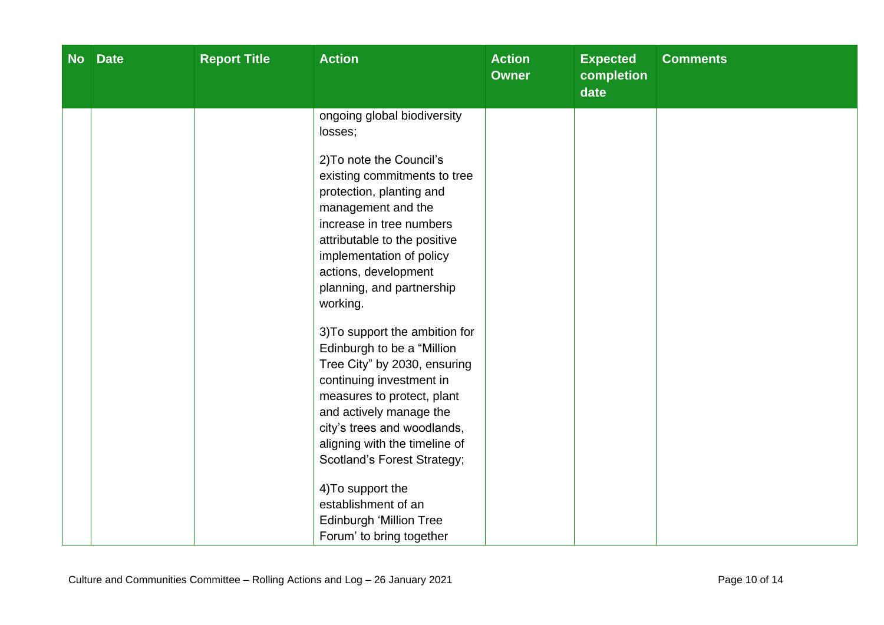| No Date | <b>Report Title</b> | <b>Action</b>                                                                                                                                                                                                                                                                                                                                                                                                                                                                                                                                                                                                          | <b>Action</b><br><b>Owner</b> | <b>Expected</b><br>completion<br>date | <b>Comments</b> |
|---------|---------------------|------------------------------------------------------------------------------------------------------------------------------------------------------------------------------------------------------------------------------------------------------------------------------------------------------------------------------------------------------------------------------------------------------------------------------------------------------------------------------------------------------------------------------------------------------------------------------------------------------------------------|-------------------------------|---------------------------------------|-----------------|
|         |                     | ongoing global biodiversity<br>losses;<br>2) To note the Council's<br>existing commitments to tree<br>protection, planting and<br>management and the<br>increase in tree numbers<br>attributable to the positive<br>implementation of policy<br>actions, development<br>planning, and partnership<br>working.<br>3) To support the ambition for<br>Edinburgh to be a "Million<br>Tree City" by 2030, ensuring<br>continuing investment in<br>measures to protect, plant<br>and actively manage the<br>city's trees and woodlands,<br>aligning with the timeline of<br>Scotland's Forest Strategy;<br>4) To support the |                               |                                       |                 |
|         |                     | establishment of an<br>Edinburgh 'Million Tree<br>Forum' to bring together                                                                                                                                                                                                                                                                                                                                                                                                                                                                                                                                             |                               |                                       |                 |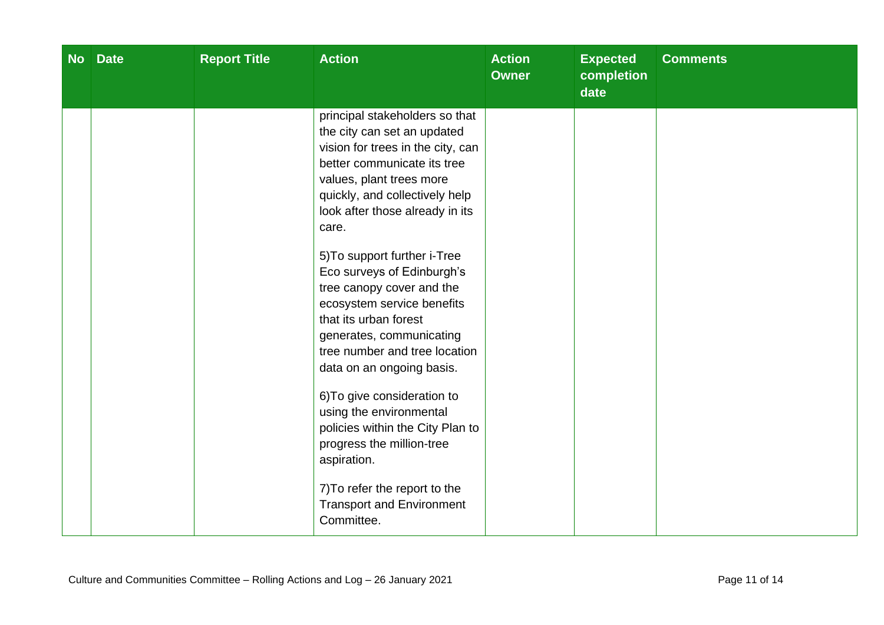| No Date | <b>Report Title</b> | <b>Action</b>                                                                                                                                                                                                                                                                                                                                                                                                                                                                                                                                                                                                                                                                                                        | <b>Action</b><br><b>Owner</b> | <b>Expected</b><br>completion<br>date | <b>Comments</b> |
|---------|---------------------|----------------------------------------------------------------------------------------------------------------------------------------------------------------------------------------------------------------------------------------------------------------------------------------------------------------------------------------------------------------------------------------------------------------------------------------------------------------------------------------------------------------------------------------------------------------------------------------------------------------------------------------------------------------------------------------------------------------------|-------------------------------|---------------------------------------|-----------------|
|         |                     | principal stakeholders so that<br>the city can set an updated<br>vision for trees in the city, can<br>better communicate its tree<br>values, plant trees more<br>quickly, and collectively help<br>look after those already in its<br>care.<br>5) To support further i-Tree<br>Eco surveys of Edinburgh's<br>tree canopy cover and the<br>ecosystem service benefits<br>that its urban forest<br>generates, communicating<br>tree number and tree location<br>data on an ongoing basis.<br>6) To give consideration to<br>using the environmental<br>policies within the City Plan to<br>progress the million-tree<br>aspiration.<br>7) To refer the report to the<br><b>Transport and Environment</b><br>Committee. |                               |                                       |                 |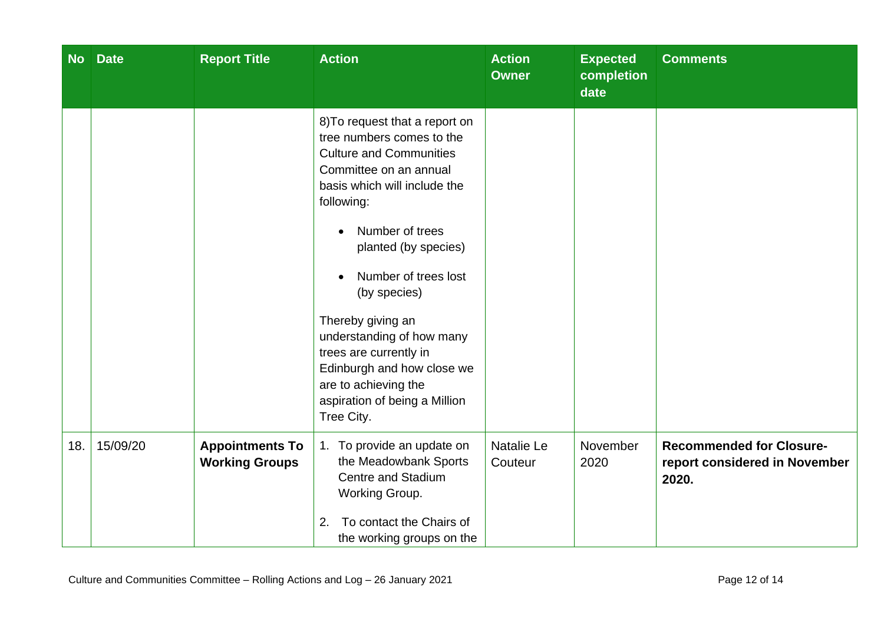| <b>No</b> | <b>Date</b> | <b>Report Title</b>                             | <b>Action</b>                                                                                                                                                                                                                                                                                                                                                                                                                             | <b>Action</b><br><b>Owner</b> | <b>Expected</b><br>completion<br>date | <b>Comments</b>                                                           |
|-----------|-------------|-------------------------------------------------|-------------------------------------------------------------------------------------------------------------------------------------------------------------------------------------------------------------------------------------------------------------------------------------------------------------------------------------------------------------------------------------------------------------------------------------------|-------------------------------|---------------------------------------|---------------------------------------------------------------------------|
|           |             |                                                 | 8) To request that a report on<br>tree numbers comes to the<br><b>Culture and Communities</b><br>Committee on an annual<br>basis which will include the<br>following:<br>Number of trees<br>planted (by species)<br>Number of trees lost<br>(by species)<br>Thereby giving an<br>understanding of how many<br>trees are currently in<br>Edinburgh and how close we<br>are to achieving the<br>aspiration of being a Million<br>Tree City. |                               |                                       |                                                                           |
| 18.       | 15/09/20    | <b>Appointments To</b><br><b>Working Groups</b> | 1. To provide an update on<br>the Meadowbank Sports<br><b>Centre and Stadium</b><br>Working Group.<br>To contact the Chairs of<br>2.<br>the working groups on the                                                                                                                                                                                                                                                                         | Natalie Le<br>Couteur         | November<br>2020                      | <b>Recommended for Closure-</b><br>report considered in November<br>2020. |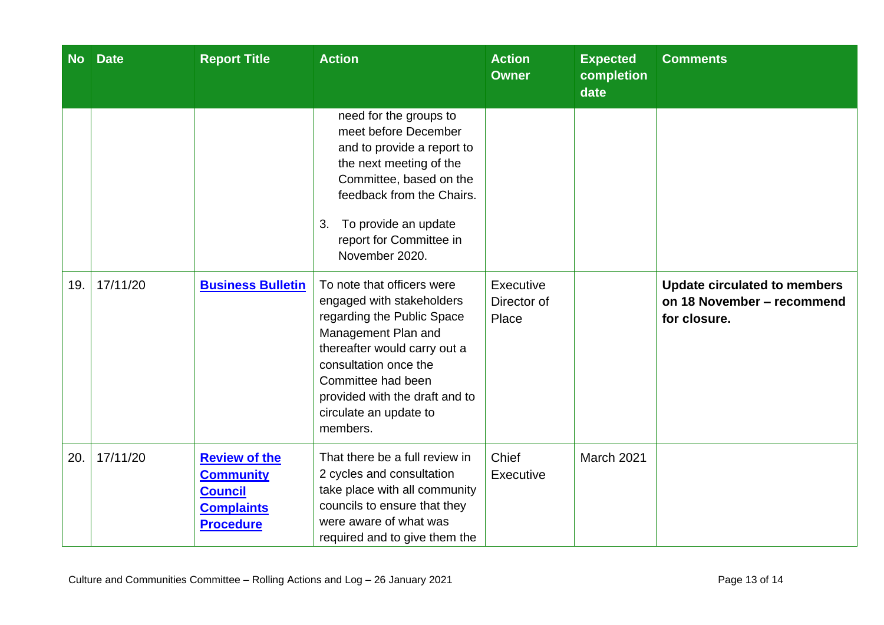| <b>No</b> | <b>Date</b> | <b>Report Title</b>                                                                                 | <b>Action</b>                                                                                                                                                                                                                                                       | <b>Action</b><br><b>Owner</b>     | <b>Expected</b><br>completion<br>date | <b>Comments</b>                                                                   |
|-----------|-------------|-----------------------------------------------------------------------------------------------------|---------------------------------------------------------------------------------------------------------------------------------------------------------------------------------------------------------------------------------------------------------------------|-----------------------------------|---------------------------------------|-----------------------------------------------------------------------------------|
|           |             |                                                                                                     | need for the groups to<br>meet before December<br>and to provide a report to<br>the next meeting of the<br>Committee, based on the<br>feedback from the Chairs.<br>To provide an update<br>3.<br>report for Committee in<br>November 2020.                          |                                   |                                       |                                                                                   |
| 19.       | 17/11/20    | <b>Business Bulletin</b>                                                                            | To note that officers were<br>engaged with stakeholders<br>regarding the Public Space<br>Management Plan and<br>thereafter would carry out a<br>consultation once the<br>Committee had been<br>provided with the draft and to<br>circulate an update to<br>members. | Executive<br>Director of<br>Place |                                       | <b>Update circulated to members</b><br>on 18 November - recommend<br>for closure. |
| 20.       | 17/11/20    | <b>Review of the</b><br><b>Community</b><br><b>Council</b><br><b>Complaints</b><br><b>Procedure</b> | That there be a full review in<br>2 cycles and consultation<br>take place with all community<br>councils to ensure that they<br>were aware of what was<br>required and to give them the                                                                             | Chief<br>Executive                | March 2021                            |                                                                                   |